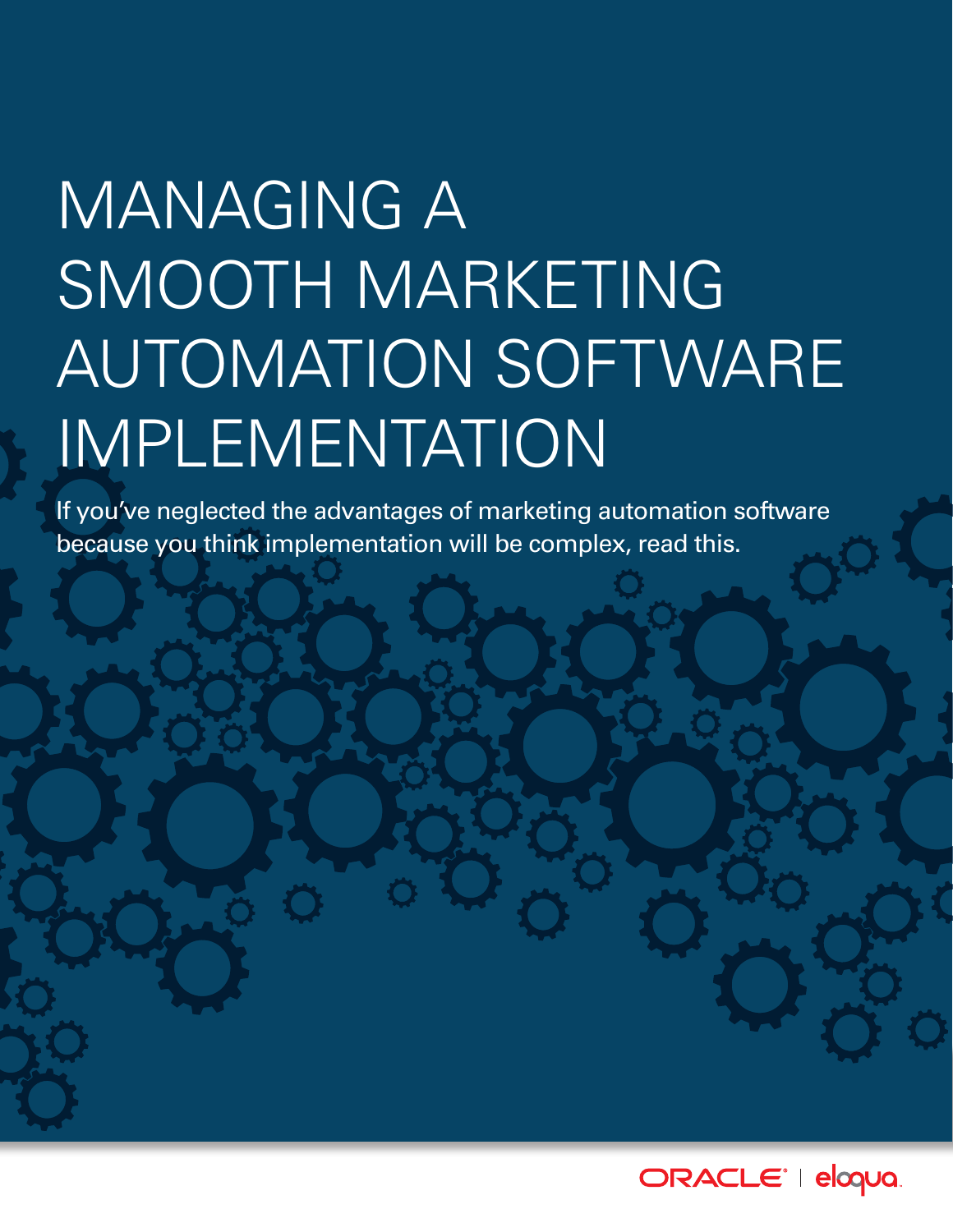# MANAGING A SMOOTH MARKETING AUTOMATION SOFTWARE IMPLEMENTATION

If you've neglected the advantages of marketing automation software because you think implementation will be complex, read this.

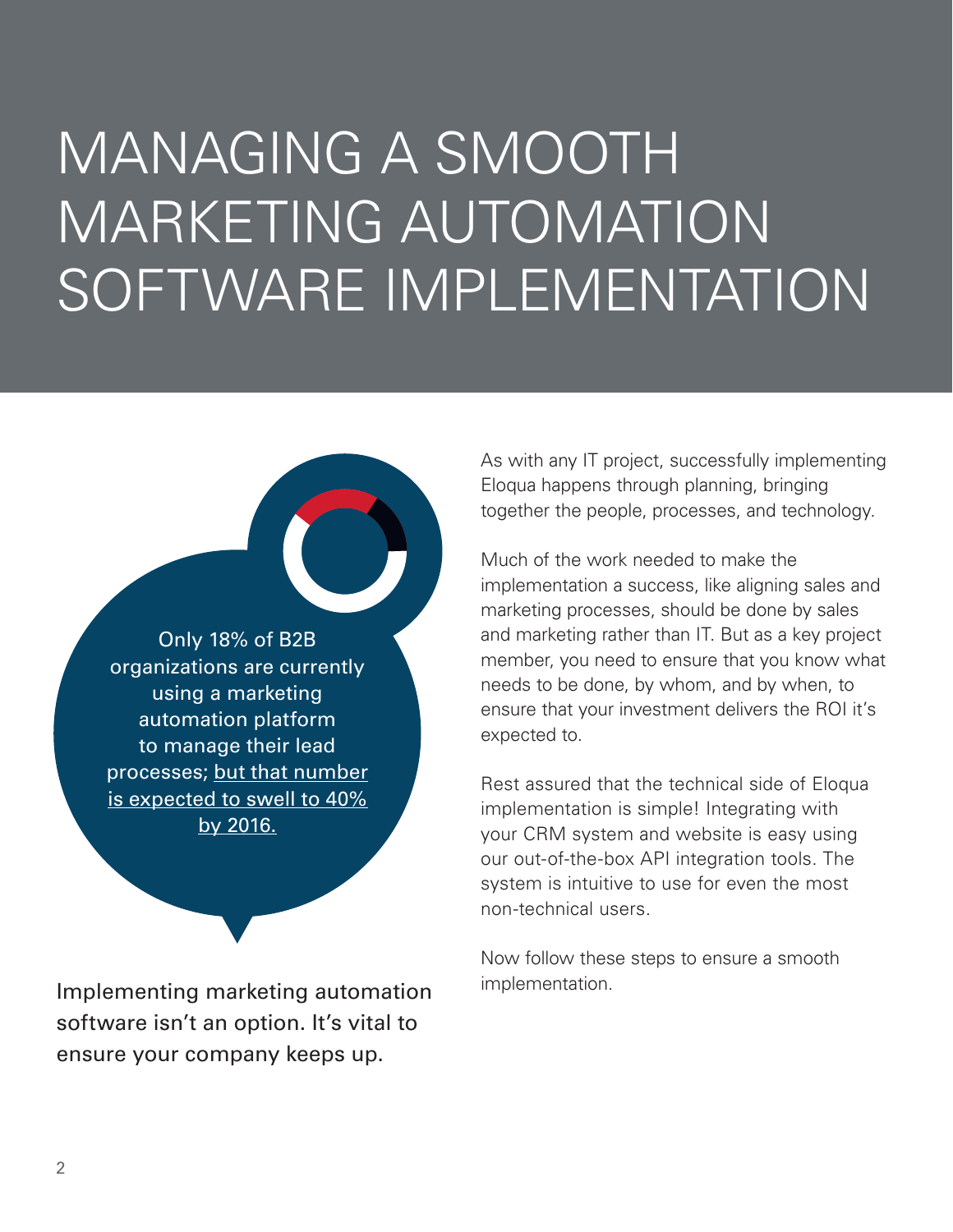## MANAGING A SMOOTH MARKETING AUTOMATION SOFTWARE IMPLEMENTATION

Only 18% of B2B organizations are currently using a marketing automation platform to manage their lead processes; [but that number](http://channelmarketerreport.com/2012/09/the-convergence-of-crm-prm-and-marketing-automation-presents-new-opportunity-for-channel-sales-and-marketing-alignment/)  [is expected to swell to 40%](http://channelmarketerreport.com/2012/09/the-convergence-of-crm-prm-and-marketing-automation-presents-new-opportunity-for-channel-sales-and-marketing-alignment/)  [by 2016.](http://channelmarketerreport.com/2012/09/the-convergence-of-crm-prm-and-marketing-automation-presents-new-opportunity-for-channel-sales-and-marketing-alignment/)

Implementing marketing automation software isn't an option. It's vital to ensure your company keeps up.

As with any IT project, successfully implementing Eloqua happens through planning, bringing together the people, processes, and technology.

Much of the work needed to make the implementation a success, like aligning sales and marketing processes, should be done by sales and marketing rather than IT. But as a key project member, you need to ensure that you know what needs to be done, by whom, and by when, to ensure that your investment delivers the ROI it's expected to.

Rest assured that the technical side of Eloqua implementation is simple! Integrating with your CRM system and website is easy using our out-of-the-box API integration tools. The system is intuitive to use for even the most non-technical users.

Now follow these steps to ensure a smooth implementation.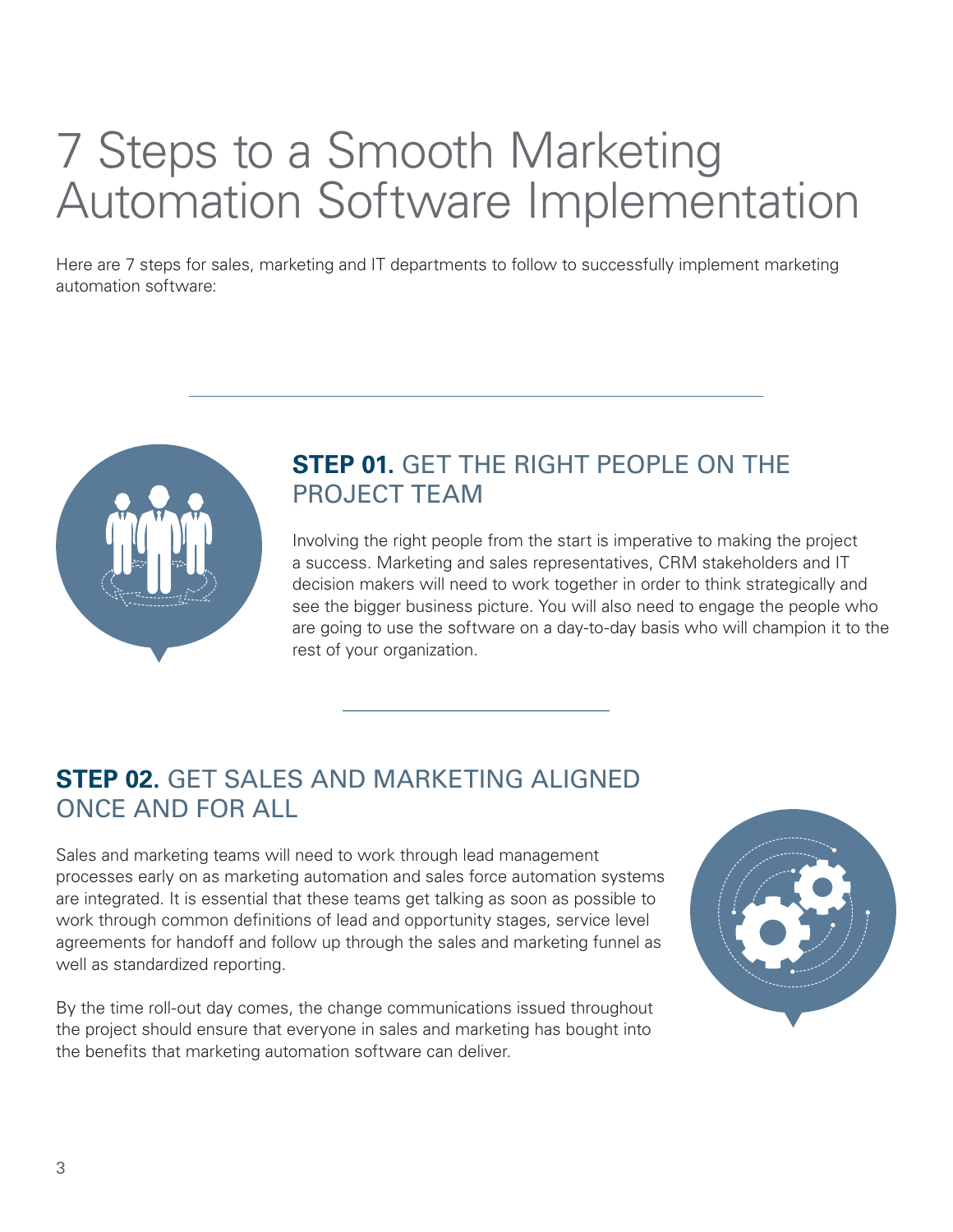## 7 Steps to a Smooth Marketing Automation Software Implementation

Here are 7 steps for sales, marketing and IT departments to follow to successfully implement marketing automation software:



#### **STEP 01.** GET THE RIGHT PEOPLE ON THE PROJECT TEAM

Involving the right people from the start is imperative to making the project a success. Marketing and sales representatives, CRM stakeholders and IT decision makers will need to work together in order to think strategically and see the bigger business picture. You will also need to engage the people who are going to use the software on a day-to-day basis who will champion it to the rest of your organization.

#### **STEP 02.** GET SALES AND MARKETING ALIGNED ONCE AND FOR ALL

Sales and marketing teams will need to work through lead management processes early on as marketing automation and sales force automation systems are integrated. It is essential that these teams get talking as soon as possible to work through common definitions of lead and opportunity stages, service level agreements for handoff and follow up through the sales and marketing funnel as well as standardized reporting.

By the time roll-out day comes, the change communications issued throughout the project should ensure that everyone in sales and marketing has bought into the benefits that marketing automation software can deliver.

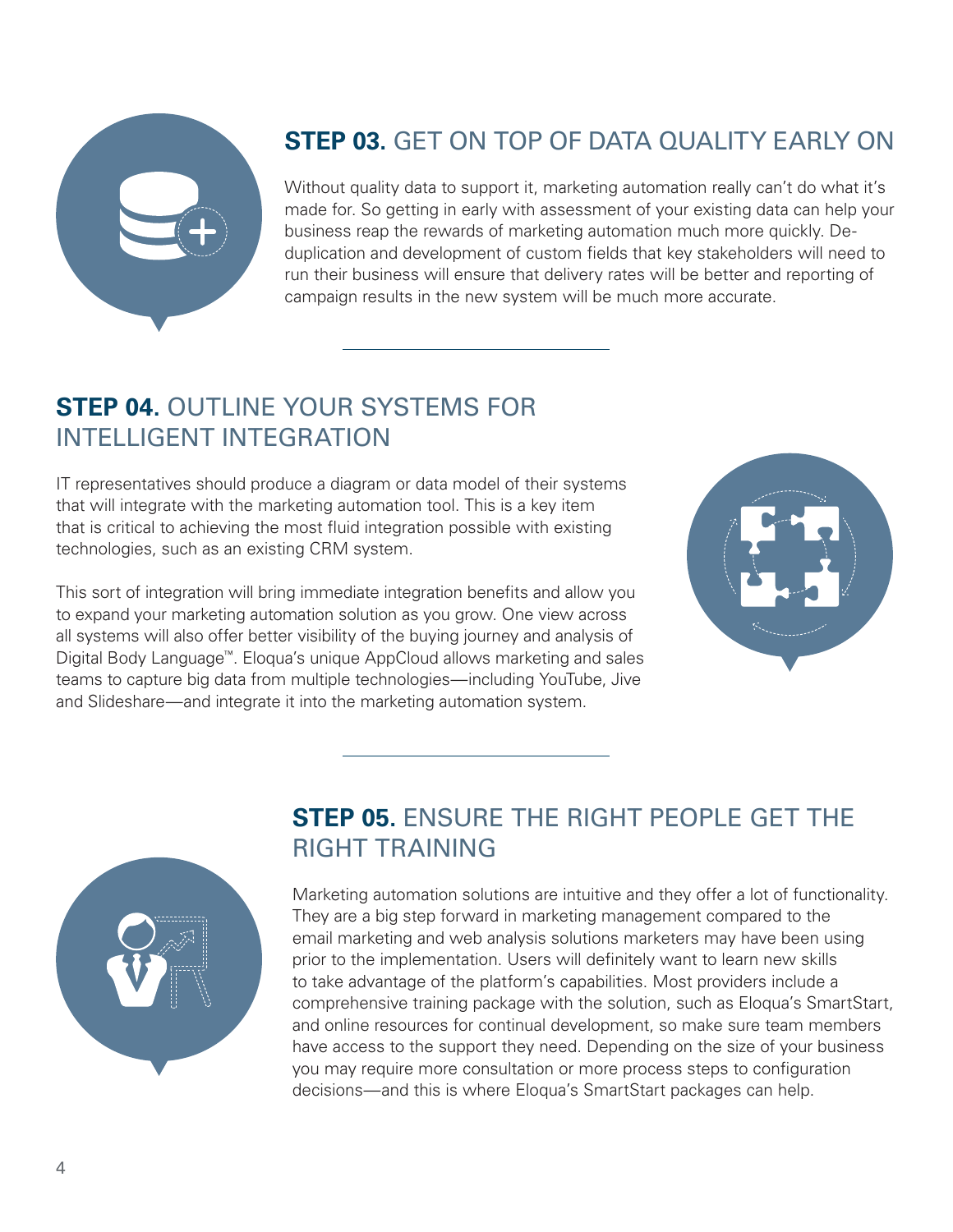

#### **STEP 03.** GET ON TOP OF DATA QUALITY EARLY ON

Without quality data to support it, marketing automation really can't do what it's made for. So getting in early with assessment of your existing data can help your business reap the rewards of marketing automation much more quickly. Deduplication and development of custom fields that key stakeholders will need to run their business will ensure that delivery rates will be better and reporting of campaign results in the new system will be much more accurate.

#### **STEP 04.** OUTLINE YOUR SYSTEMS FOR INTELLIGENT INTEGRATION

IT representatives should produce a diagram or data model of their systems that will integrate with the marketing automation tool. This is a key item that is critical to achieving the most fluid integration possible with existing technologies, such as an existing CRM system.

This sort of integration will bring immediate integration benefits and allow you to expand your marketing automation solution as you grow. One view across all systems will also offer better visibility of the buying journey and analysis of Digital Body Language™. Eloqua's unique AppCloud allows marketing and sales teams to capture big data from multiple technologies—including YouTube, Jive and Slideshare—and integrate it into the marketing automation system.





#### **STEP 05.** ENSURE THE RIGHT PEOPLE GET THE RIGHT TRAINING

Marketing automation solutions are intuitive and they offer a lot of functionality. They are a big step forward in marketing management compared to the email marketing and web analysis solutions marketers may have been using prior to the implementation. Users will definitely want to learn new skills to take advantage of the platform's capabilities. Most providers include a comprehensive training package with the solution, such as Eloqua's SmartStart, and online resources for continual development, so make sure team members have access to the support they need. Depending on the size of your business you may require more consultation or more process steps to configuration decisions—and this is where Eloqua's SmartStart packages can help.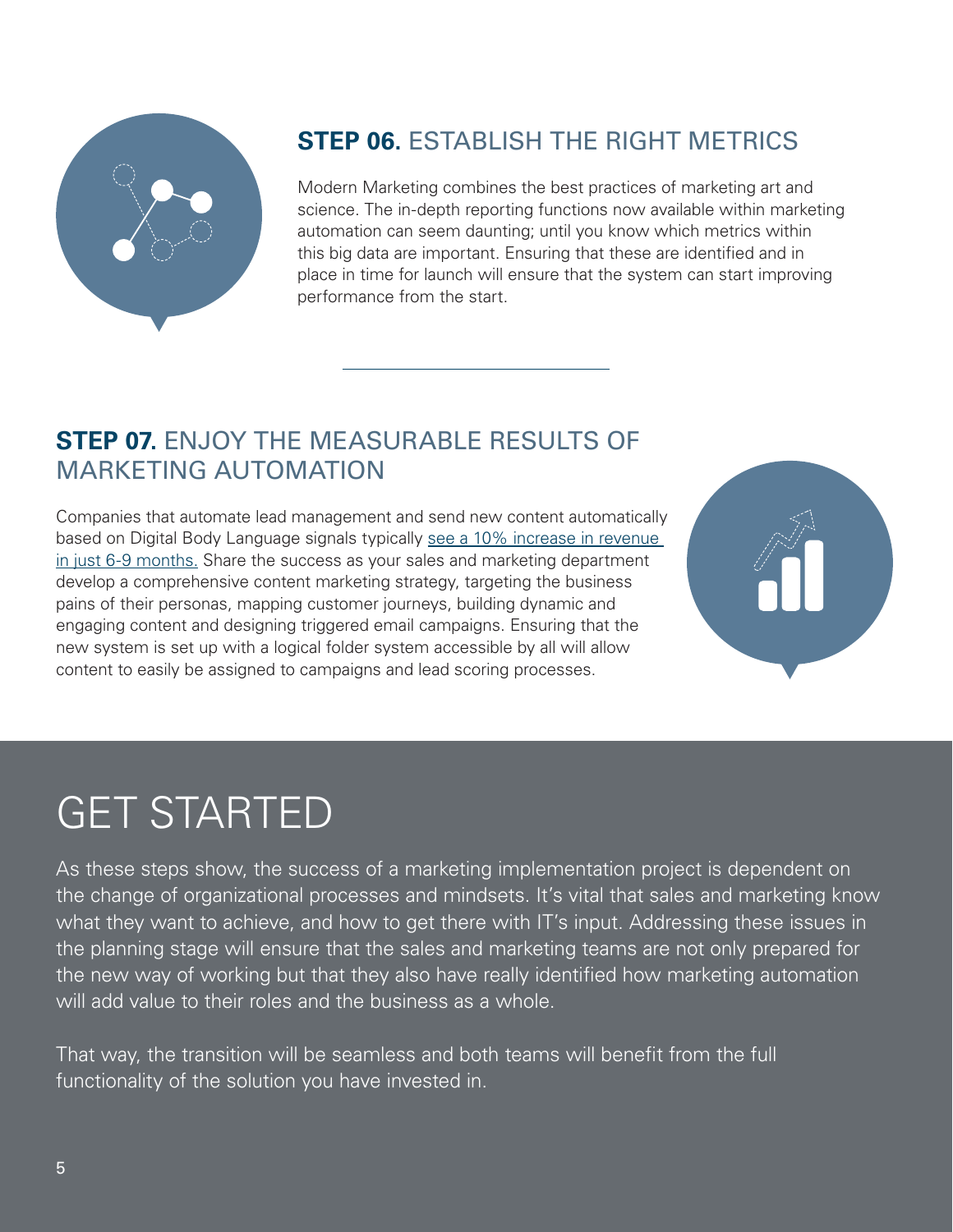

#### **STEP 06.** ESTABLISH THE RIGHT METRICS

Modern Marketing combines the best practices of marketing art and science. The in-depth reporting functions now available within marketing automation can seem daunting; until you know which metrics within this big data are important. Ensuring that these are identified and in place in time for launch will ensure that the system can start improving performance from the start.

#### **STEP 07.** ENJOY THE MEASURABLE RESULTS OF MARKETING AUTOMATION

Companies that automate lead management and send new content automatically based on Digital Body Language signals typically see a 10% increase in revenue [in just 6-9 months.](http://blog.katapult.co.uk/inbound/11-reasons-to-nurture-your-leads-with-marketing-automation/) Share the success as your sales and marketing department develop a comprehensive content marketing strategy, targeting the business pains of their personas, mapping customer journeys, building dynamic and engaging content and designing triggered email campaigns. Ensuring that the new system is set up with a logical folder system accessible by all will allow content to easily be assigned to campaigns and lead scoring processes.



### GET STARTED

As these steps show, the success of a marketing implementation project is dependent on the change of organizational processes and mindsets. It's vital that sales and marketing know what they want to achieve, and how to get there with IT's input. Addressing these issues in the planning stage will ensure that the sales and marketing teams are not only prepared for the new way of working but that they also have really identified how marketing automation will add value to their roles and the business as a whole.

That way, the transition will be seamless and both teams will benefit from the full functionality of the solution you have invested in.